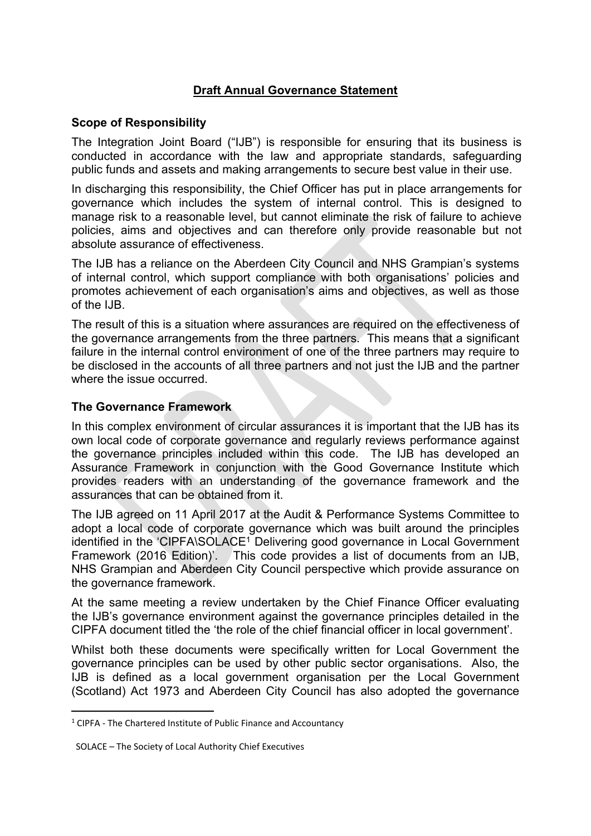# **Draft Annual Governance Statement**

# **Scope of Responsibility**

The Integration Joint Board ("IJB") is responsible for ensuring that its business is conducted in accordance with the law and appropriate standards, safeguarding public funds and assets and making arrangements to secure best value in their use.

In discharging this responsibility, the Chief Officer has put in place arrangements for governance which includes the system of internal control. This is designed to manage risk to a reasonable level, but cannot eliminate the risk of failure to achieve policies, aims and objectives and can therefore only provide reasonable but not absolute assurance of effectiveness.

The IJB has a reliance on the Aberdeen City Council and NHS Grampian's systems of internal control, which support compliance with both organisations' policies and promotes achievement of each organisation's aims and objectives, as well as those of the IJB.

The result of this is a situation where assurances are required on the effectiveness of the governance arrangements from the three partners. This means that a significant failure in the internal control environment of one of the three partners may require to be disclosed in the accounts of all three partners and not just the IJB and the partner where the issue occurred.

# **The Governance Framework**

In this complex environment of circular assurances it is important that the IJB has its own local code of corporate governance and regularly reviews performance against the governance principles included within this code. The IJB has developed an Assurance Framework in conjunction with the Good Governance Institute which provides readers with an understanding of the governance framework and the assurances that can be obtained from it.

The IJB agreed on 11 April 2017 at the Audit & Performance Systems Committee to adopt a local code of corporate governance which was built around the principles identified in the 'CIPFA\SOLACE<sup>1</sup> Delivering good governance in Local Government Framework (2016 Edition)'. This code provides a list of documents from an IJB, NHS Grampian and Aberdeen City Council perspective which provide assurance on the governance framework.

At the same meeting a review undertaken by the Chief Finance Officer evaluating the IJB's governance environment against the governance principles detailed in the CIPFA document titled the 'the role of the chief financial officer in local government'.

Whilst both these documents were specifically written for Local Government the governance principles can be used by other public sector organisations. Also, the IJB is defined as a local government organisation per the Local Government (Scotland) Act 1973 and Aberdeen City Council has also adopted the governance

<sup>&</sup>lt;sup>1</sup> CIPFA - The Chartered Institute of Public Finance and Accountancy

SOLACE – The Society of Local Authority Chief Executives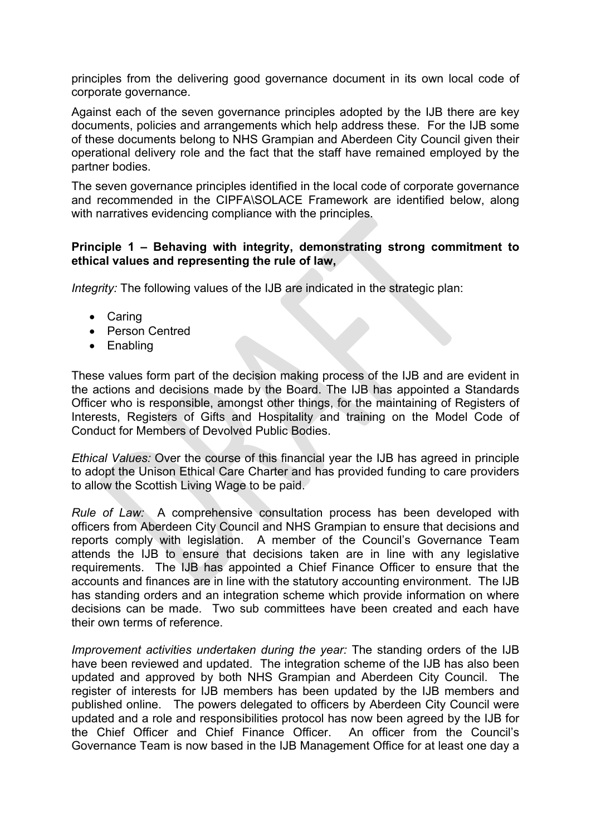principles from the delivering good governance document in its own local code of corporate governance.

Against each of the seven governance principles adopted by the IJB there are key documents, policies and arrangements which help address these. For the IJB some of these documents belong to NHS Grampian and Aberdeen City Council given their operational delivery role and the fact that the staff have remained employed by the partner bodies.

The seven governance principles identified in the local code of corporate governance and recommended in the CIPFA\SOLACE Framework are identified below, along with narratives evidencing compliance with the principles.

## **Principle 1 – Behaving with integrity, demonstrating strong commitment to ethical values and representing the rule of law,**

*Integrity:* The following values of the IJB are indicated in the strategic plan:

- Caring
- Person Centred
- Enabling

These values form part of the decision making process of the IJB and are evident in the actions and decisions made by the Board. The IJB has appointed a Standards Officer who is responsible, amongst other things, for the maintaining of Registers of Interests, Registers of Gifts and Hospitality and training on the Model Code of Conduct for Members of Devolved Public Bodies.

*Ethical Values:* Over the course of this financial year the IJB has agreed in principle to adopt the Unison Ethical Care Charter and has provided funding to care providers to allow the Scottish Living Wage to be paid.

*Rule of Law:* A comprehensive consultation process has been developed with officers from Aberdeen City Council and NHS Grampian to ensure that decisions and reports comply with legislation. A member of the Council's Governance Team attends the IJB to ensure that decisions taken are in line with any legislative requirements. The IJB has appointed a Chief Finance Officer to ensure that the accounts and finances are in line with the statutory accounting environment. The IJB has standing orders and an integration scheme which provide information on where decisions can be made. Two sub committees have been created and each have their own terms of reference.

*Improvement activities undertaken during the year:* The standing orders of the IJB have been reviewed and updated. The integration scheme of the IJB has also been updated and approved by both NHS Grampian and Aberdeen City Council. The register of interests for IJB members has been updated by the IJB members and published online. The powers delegated to officers by Aberdeen City Council were updated and a role and responsibilities protocol has now been agreed by the IJB for the Chief Officer and Chief Finance Officer. An officer from the Council's Governance Team is now based in the IJB Management Office for at least one day a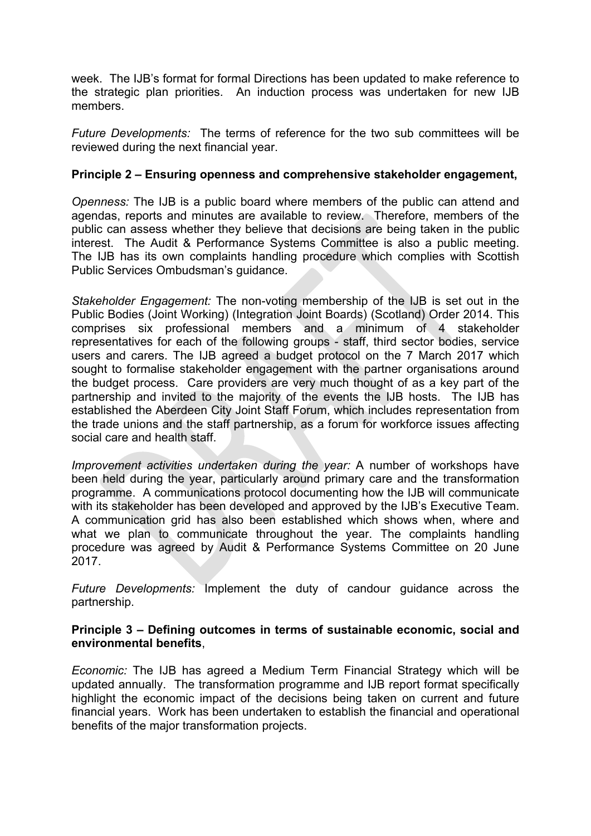week. The IJB's format for formal Directions has been updated to make reference to the strategic plan priorities. An induction process was undertaken for new IJB members.

*Future Developments:* The terms of reference for the two sub committees will be reviewed during the next financial year.

### **Principle 2 – Ensuring openness and comprehensive stakeholder engagement,**

*Openness:* The IJB is a public board where members of the public can attend and agendas, reports and minutes are available to review. Therefore, members of the public can assess whether they believe that decisions are being taken in the public interest. The Audit & Performance Systems Committee is also a public meeting. The IJB has its own complaints handling procedure which complies with Scottish Public Services Ombudsman's guidance.

*Stakeholder Engagement:* The non-voting membership of the IJB is set out in the Public Bodies (Joint Working) (Integration Joint Boards) (Scotland) Order 2014. This comprises six professional members and a minimum of 4 stakeholder representatives for each of the following groups - staff, third sector bodies, service users and carers. The IJB agreed a budget protocol on the 7 March 2017 which sought to formalise stakeholder engagement with the partner organisations around the budget process. Care providers are very much thought of as a key part of the partnership and invited to the majority of the events the IJB hosts. The IJB has established the Aberdeen City Joint Staff Forum, which includes representation from the trade unions and the staff partnership, as a forum for workforce issues affecting social care and health staff.

*Improvement activities undertaken during the year:* A number of workshops have been held during the year, particularly around primary care and the transformation programme. A communications protocol documenting how the IJB will communicate with its stakeholder has been developed and approved by the IJB's Executive Team. A communication grid has also been established which shows when, where and what we plan to communicate throughout the year. The complaints handling procedure was agreed by Audit & Performance Systems Committee on 20 June 2017.

*Future Developments:* Implement the duty of candour guidance across the partnership.

#### **Principle 3 – Defining outcomes in terms of sustainable economic, social and environmental benefits**,

*Economic:* The IJB has agreed a Medium Term Financial Strategy which will be updated annually. The transformation programme and IJB report format specifically highlight the economic impact of the decisions being taken on current and future financial years. Work has been undertaken to establish the financial and operational benefits of the major transformation projects.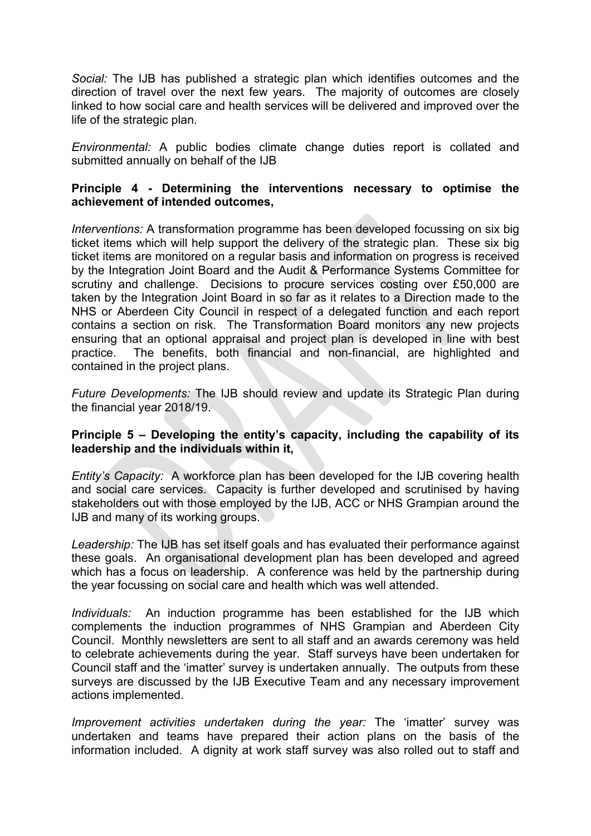*Social:* The IJB has published a strategic plan which identifies outcomes and the direction of travel over the next few years. The majority of outcomes are closely linked to how social care and health services will be delivered and improved over the life of the strategic plan.

*Environmental:* A public bodies climate change duties report is collated and submitted annually on behalf of the IJB

# **Principle 4 - Determining the interventions necessary to optimise the achievement of intended outcomes,**

*Interventions:* A transformation programme has been developed focussing on six big ticket items which will help support the delivery of the strategic plan. These six big ticket items are monitored on a regular basis and information on progress is received by the Integration Joint Board and the Audit & Performance Systems Committee for scrutiny and challenge. Decisions to procure services costing over £50,000 are taken by the Integration Joint Board in so far as it relates to a Direction made to the NHS or Aberdeen City Council in respect of a delegated function and each report contains a section on risk. The Transformation Board monitors any new projects ensuring that an optional appraisal and project plan is developed in line with best practice. The benefits, both financial and non-financial, are highlighted and contained in the project plans.

*Future Developments:* The IJB should review and update its Strategic Plan during the financial year 2018/19.

### **Principle 5 – Developing the entity's capacity, including the capability of its leadership and the individuals within it,**

*Entity's Capacity:* A workforce plan has been developed for the IJB covering health and social care services. Capacity is further developed and scrutinised by having stakeholders out with those employed by the IJB, ACC or NHS Grampian around the IJB and many of its working groups.

*Leadership:* The IJB has set itself goals and has evaluated their performance against these goals.An organisational development plan has been developed and agreed which has a focus on leadership. A conference was held by the partnership during the year focussing on social care and health which was well attended.

*Individuals:* An induction programme has been established for the IJB which complements the induction programmes of NHS Grampian and Aberdeen City Council. Monthly newsletters are sent to all staff and an awards ceremony was held to celebrate achievements during the year. Staff surveys have been undertaken for Council staff and the 'imatter' survey is undertaken annually. The outputs from these surveys are discussed by the IJB Executive Team and any necessary improvement actions implemented.

*Improvement activities undertaken during the year:* The 'imatter' survey was undertaken and teams have prepared their action plans on the basis of the information included. A dignity at work staff survey was also rolled out to staff and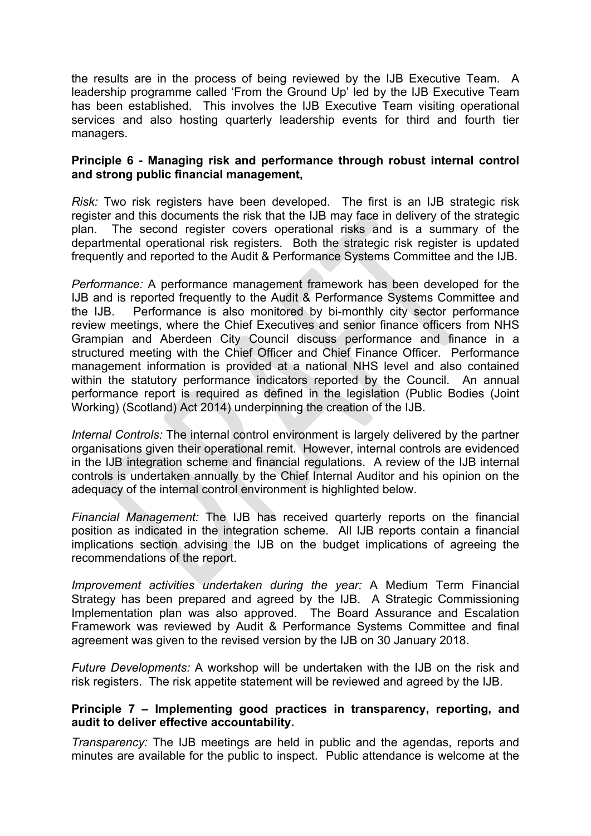the results are in the process of being reviewed by the IJB Executive Team. A leadership programme called 'From the Ground Up' led by the IJB Executive Team has been established. This involves the IJB Executive Team visiting operational services and also hosting quarterly leadership events for third and fourth tier managers.

## **Principle 6 - Managing risk and performance through robust internal control and strong public financial management,**

*Risk:* Two risk registers have been developed. The first is an IJB strategic risk register and this documents the risk that the IJB may face in delivery of the strategic plan. The second register covers operational risks and is a summary of the departmental operational risk registers. Both the strategic risk register is updated frequently and reported to the Audit & Performance Systems Committee and the IJB.

*Performance:* A performance management framework has been developed for the IJB and is reported frequently to the Audit & Performance Systems Committee and the IJB. Performance is also monitored by bi-monthly city sector performance review meetings, where the Chief Executives and senior finance officers from NHS Grampian and Aberdeen City Council discuss performance and finance in a structured meeting with the Chief Officer and Chief Finance Officer. Performance management information is provided at a national NHS level and also contained within the statutory performance indicators reported by the Council. An annual performance report is required as defined in the legislation (Public Bodies (Joint Working) (Scotland) Act 2014) underpinning the creation of the IJB.

*Internal Controls:* The internal control environment is largely delivered by the partner organisations given their operational remit. However, internal controls are evidenced in the IJB integration scheme and financial regulations. A review of the IJB internal controls is undertaken annually by the Chief Internal Auditor and his opinion on the adequacy of the internal control environment is highlighted below.

*Financial Management:* The IJB has received quarterly reports on the financial position as indicated in the integration scheme. All IJB reports contain a financial implications section advising the IJB on the budget implications of agreeing the recommendations of the report.

*Improvement activities undertaken during the year:* A Medium Term Financial Strategy has been prepared and agreed by the IJB. A Strategic Commissioning Implementation plan was also approved. The Board Assurance and Escalation Framework was reviewed by Audit & Performance Systems Committee and final agreement was given to the revised version by the IJB on 30 January 2018.

*Future Developments:* A workshop will be undertaken with the IJB on the risk and risk registers. The risk appetite statement will be reviewed and agreed by the IJB.

#### **Principle 7 – Implementing good practices in transparency, reporting, and audit to deliver effective accountability.**

*Transparency:* The IJB meetings are held in public and the agendas, reports and minutes are available for the public to inspect. Public attendance is welcome at the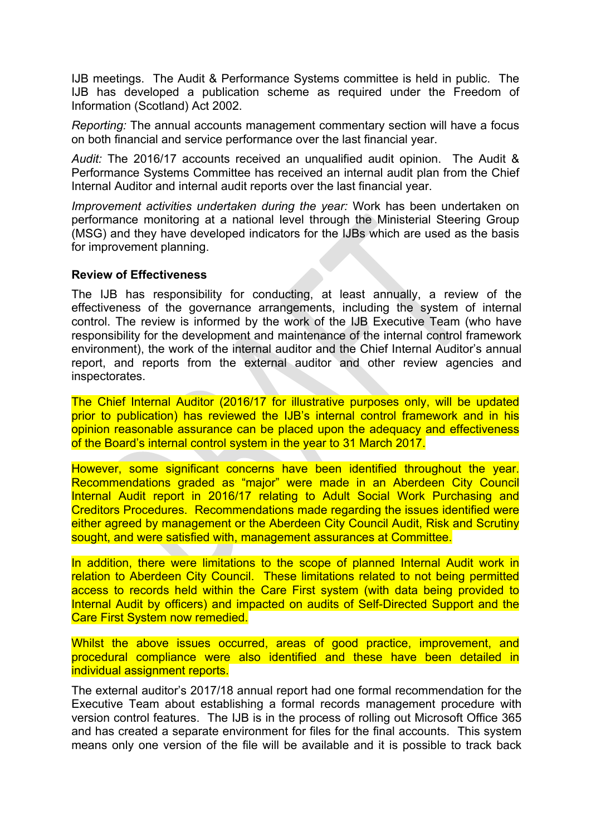IJB meetings. The Audit & Performance Systems committee is held in public. The IJB has developed a publication scheme as required under the Freedom of Information (Scotland) Act 2002.

*Reporting:* The annual accounts management commentary section will have a focus on both financial and service performance over the last financial year.

*Audit:* The 2016/17 accounts received an unqualified audit opinion. The Audit & Performance Systems Committee has received an internal audit plan from the Chief Internal Auditor and internal audit reports over the last financial year.

*Improvement activities undertaken during the year:* Work has been undertaken on performance monitoring at a national level through the Ministerial Steering Group (MSG) and they have developed indicators for the IJBs which are used as the basis for improvement planning.

#### **Review of Effectiveness**

The IJB has responsibility for conducting, at least annually, a review of the effectiveness of the governance arrangements, including the system of internal control. The review is informed by the work of the IJB Executive Team (who have responsibility for the development and maintenance of the internal control framework environment), the work of the internal auditor and the Chief Internal Auditor's annual report, and reports from the external auditor and other review agencies and inspectorates.

The Chief Internal Auditor (2016/17 for illustrative purposes only, will be updated prior to publication) has reviewed the IJB's internal control framework and in his opinion reasonable assurance can be placed upon the adequacy and effectiveness of the Board's internal control system in the year to 31 March 2017.

However, some significant concerns have been identified throughout the year. Recommendations graded as "major" were made in an Aberdeen City Council Internal Audit report in 2016/17 relating to Adult Social Work Purchasing and Creditors Procedures. Recommendations made regarding the issues identified were either agreed by management or the Aberdeen City Council Audit, Risk and Scrutiny sought, and were satisfied with, management assurances at Committee.

In addition, there were limitations to the scope of planned Internal Audit work in relation to Aberdeen City Council. These limitations related to not being permitted access to records held within the Care First system (with data being provided to Internal Audit by officers) and impacted on audits of Self-Directed Support and the Care First System now remedied.

Whilst the above issues occurred, areas of good practice, improvement, and procedural compliance were also identified and these have been detailed in individual assignment reports.

The external auditor's 2017/18 annual report had one formal recommendation for the Executive Team about establishing a formal records management procedure with version control features. The IJB is in the process of rolling out Microsoft Office 365 and has created a separate environment for files for the final accounts. This system means only one version of the file will be available and it is possible to track back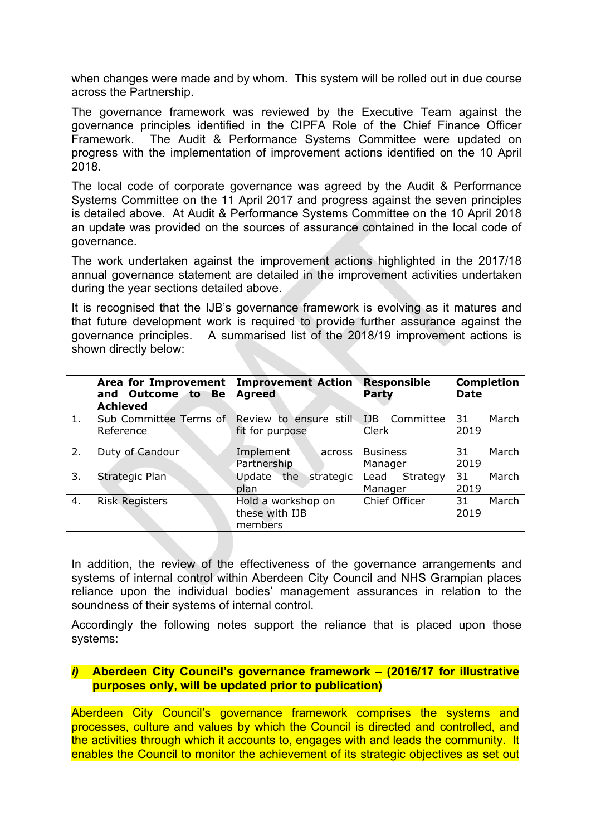when changes were made and by whom. This system will be rolled out in due course across the Partnership.

The governance framework was reviewed by the Executive Team against the governance principles identified in the CIPFA Role of the Chief Finance Officer Framework. The Audit & Performance Systems Committee were updated on progress with the implementation of improvement actions identified on the 10 April 2018.

The local code of corporate governance was agreed by the Audit & Performance Systems Committee on the 11 April 2017 and progress against the seven principles is detailed above. At Audit & Performance Systems Committee on the 10 April 2018 an update was provided on the sources of assurance contained in the local code of governance.

The work undertaken against the improvement actions highlighted in the 2017/18 annual governance statement are detailed in the improvement activities undertaken during the year sections detailed above.

It is recognised that the IJB's governance framework is evolving as it matures and that future development work is required to provide further assurance against the governance principles. A summarised list of the 2018/19 improvement actions is shown directly below:

|    | Area for Improvement<br><b>Outcome</b> to Be<br>and<br><b>Achieved</b> | <b>Improvement Action</b><br><b>Agreed</b>      | <b>Responsible</b><br>Party      | <b>Completion</b><br><b>Date</b> |
|----|------------------------------------------------------------------------|-------------------------------------------------|----------------------------------|----------------------------------|
| 1. | Sub Committee Terms of<br>Reference                                    | Review to ensure still<br>fit for purpose       | Committee<br><b>IJB</b><br>Clerk | 31<br>March<br>2019              |
| 2. | Duty of Candour                                                        | Implement<br>across<br>Partnership              | <b>Business</b><br>Manager       | 31<br>March<br>2019              |
| 3. | <b>Strategic Plan</b>                                                  | Update<br>the<br>strategic<br>plan              | Strategy<br>Lead<br>Manager      | 31<br>March<br>2019              |
| 4. | <b>Risk Registers</b>                                                  | Hold a workshop on<br>these with IJB<br>members | Chief Officer                    | 31<br>March<br>2019              |

In addition, the review of the effectiveness of the governance arrangements and systems of internal control within Aberdeen City Council and NHS Grampian places reliance upon the individual bodies' management assurances in relation to the soundness of their systems of internal control.

Accordingly the following notes support the reliance that is placed upon those systems:

## *i)* **Aberdeen City Council's governance framework – (2016/17 for illustrative purposes only, will be updated prior to publication)**

Aberdeen City Council's governance framework comprises the systems and processes, culture and values by which the Council is directed and controlled, and the activities through which it accounts to, engages with and leads the community. It enables the Council to monitor the achievement of its strategic objectives as set out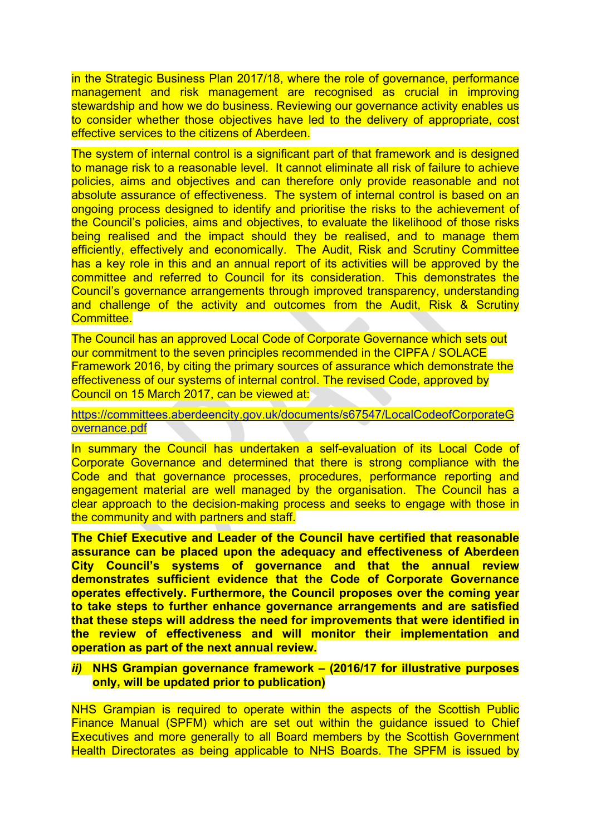in the Strategic Business Plan 2017/18, where the role of governance, performance management and risk management are recognised as crucial in improving stewardship and how we do business. Reviewing our governance activity enables us to consider whether those objectives have led to the delivery of appropriate, cost effective services to the citizens of Aberdeen.

The system of internal control is a significant part of that framework and is designed to manage risk to a reasonable level. It cannot eliminate all risk of failure to achieve policies, aims and objectives and can therefore only provide reasonable and not absolute assurance of effectiveness. The system of internal control is based on an ongoing process designed to identify and prioritise the risks to the achievement of the Council's policies, aims and objectives, to evaluate the likelihood of those risks being realised and the impact should they be realised, and to manage them efficiently, effectively and economically. The Audit, Risk and Scrutiny Committee has a key role in this and an annual report of its activities will be approved by the committee and referred to Council for its consideration. This demonstrates the Council's governance arrangements through improved transparency, understanding and challenge of the activity and outcomes from the Audit, Risk & Scrutiny Committee.

The Council has an approved Local Code of Corporate Governance which sets out our commitment to the seven principles recommended in the CIPFA / SOLACE Framework 2016, by citing the primary sources of assurance which demonstrate the effectiveness of our systems of internal control. The revised Code, approved by Council on 15 March 2017, can be viewed at:

[https://committees.aberdeencity.gov.uk/documents/s67547/LocalCodeofCorporateG](https://committees.aberdeencity.gov.uk/documents/s67547/LocalCodeofCorporateGovernance.pdf) [overnance.pdf](https://committees.aberdeencity.gov.uk/documents/s67547/LocalCodeofCorporateGovernance.pdf)

In summary the Council has undertaken a self-evaluation of its Local Code of Corporate Governance and determined that there is strong compliance with the Code and that governance processes, procedures, performance reporting and engagement material are well managed by the organisation. The Council has a clear approach to the decision-making process and seeks to engage with those in the community and with partners and staff.

**The Chief Executive and Leader of the Council have certified that reasonable assurance can be placed upon the adequacy and effectiveness of Aberdeen City Council's systems of governance and that the annual review demonstrates sufficient evidence that the Code of Corporate Governance operates effectively. Furthermore, the Council proposes over the coming year to take steps to further enhance governance arrangements and are satisfied that these steps will address the need for improvements that were identified in the review of effectiveness and will monitor their implementation and operation as part of the next annual review.**

#### *ii)* **NHS Grampian governance framework – (2016/17 for illustrative purposes only, will be updated prior to publication)**

NHS Grampian is required to operate within the aspects of the Scottish Public Finance Manual (SPFM) which are set out within the guidance issued to Chief Executives and more generally to all Board members by the Scottish Government Health Directorates as being applicable to NHS Boards. The SPFM is issued by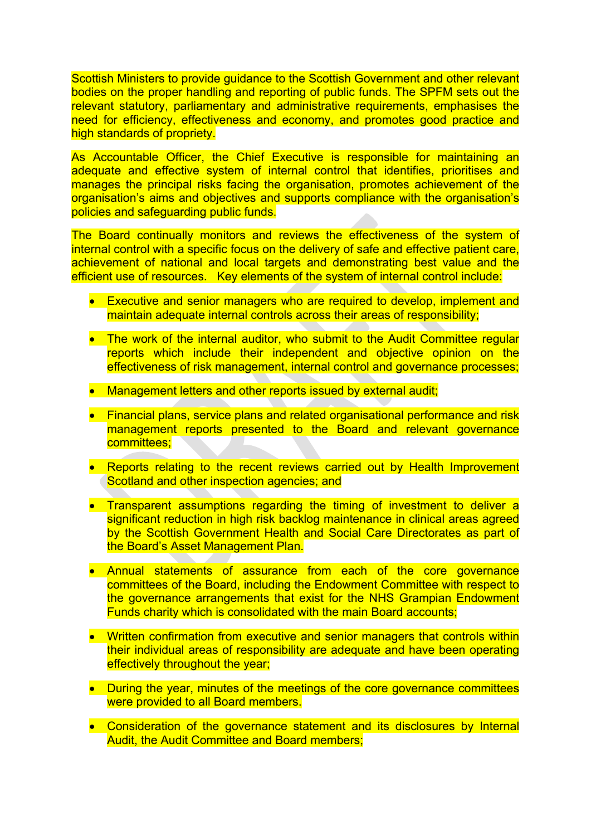Scottish Ministers to provide guidance to the Scottish Government and other relevant bodies on the proper handling and reporting of public funds. The SPFM sets out the relevant statutory, parliamentary and administrative requirements, emphasises the need for efficiency, effectiveness and economy, and promotes good practice and high standards of propriety.

As Accountable Officer, the Chief Executive is responsible for maintaining an adequate and effective system of internal control that identifies, prioritises and manages the principal risks facing the organisation, promotes achievement of the organisation's aims and objectives and supports compliance with the organisation's policies and safeguarding public funds.

The Board continually monitors and reviews the effectiveness of the system of internal control with a specific focus on the delivery of safe and effective patient care, achievement of national and local targets and demonstrating best value and the efficient use of resources. Key elements of the system of internal control include:

- **Executive and senior managers who are required to develop, implement and** maintain adequate internal controls across their areas of responsibility;
- The work of the internal auditor, who submit to the Audit Committee regular reports which include their independent and objective opinion on the effectiveness of risk management, internal control and governance processes;
- Management letters and other reports issued by external audit;
- Financial plans, service plans and related organisational performance and risk management reports presented to the Board and relevant governance committees;
- Reports relating to the recent reviews carried out by Health Improvement Scotland and other inspection agencies; and
- Transparent assumptions regarding the timing of investment to deliver a significant reduction in high risk backlog maintenance in clinical areas agreed by the Scottish Government Health and Social Care Directorates as part of the Board's Asset Management Plan.
- Annual statements of assurance from each of the core governance committees of the Board, including the Endowment Committee with respect to the governance arrangements that exist for the NHS Grampian Endowment Funds charity which is consolidated with the main Board accounts;
- Written confirmation from executive and senior managers that controls within their individual areas of responsibility are adequate and have been operating effectively throughout the year;
- During the year, minutes of the meetings of the core governance committees were provided to all Board members.
- Consideration of the governance statement and its disclosures by Internal Audit, the Audit Committee and Board members;